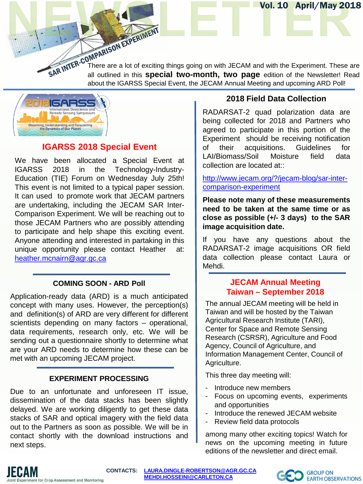SAR INTER-CONNETTIES There are a lot of exciting things going on with JECAM and with the Experiment. These are all outlined in this **special two-month** there more all outlined in this **special two-month** there more all out all outlined in this **special two-month, two page** edition of the Newsletter! Read about the IGARSS Special Event, the JECAM Annual Meeting and upcoming ARD Poll!



## **IGARSS 2018 Special Event**

We have been allocated a Special Event at IGARSS 2018 in the Technology-Industry-Education (TIE) Forum on Wednesday July 25th! This event is not limited to a typical paper session. It can used to promote work that JECAM partners are undertaking, including the JECAM SAR Inter-Comparison Experiment. We will be reaching out to those JECAM Partners who are possibly attending to participate and help shape this exciting event. Anyone attending and interested in partaking in this unique opportunity please contact Heather at: [heather.mcnairn@agr.gc.ca](mailto:heather.mcnairn@agr.gc.ca)

### **COMING SOON - ARD Poll**

Application-ready data (ARD) is a much anticipated concept with many uses. However, the perception(s) and definition(s) of ARD are very different for different scientists depending on many factors – operational, data requirements, research only, etc. We will be sending out a questionnaire shortly to determine what are your ARD needs to determine how these can be met with an upcoming JECAM project.

#### **EXPERIMENT PROCESSING**

Due to an unfortunate and unforeseen IT issue, dissemination of the data stacks has been slightly delayed. We are working diligently to get these data stacks of SAR and optical imagery with the field data out to the Partners as soon as possible. We will be in contact shortly with the download instructions and next steps.

#### **2018 Field Data Collection**

Vol. 10 April/May 2018

RADARSAT-2 quad polarization data are being collected for 2018 and Partners who agreed to participate in this portion of the Experiment should be receiving notification of their acquisitions. Guidelines for LAI/Biomass/Soil Moisture field data collection are located at::

[http://www.jecam.org/?/jecam-blog/sar-inter](http://www.jecam.org/?/jecam-blog/sar-inter-comparison-experiment)[comparison-experiment](http://www.jecam.org/?/jecam-blog/sar-inter-comparison-experiment)

**Please note many of these measurements need to be taken at the same time or as close as possible (+/- 3 days) to the SAR image acquisition date.**

If you have any questions about the RADARSAT-2 image acquisitions OR field data collection please contact Laura or Mehdi.

#### **JECAM Annual Meeting Taiwan – September 2018**

The annual JECAM meeting will be held in Taiwan and will be hosted by the Taiwan Agricultural Research Institute (TARI), Center for Space and Remote Sensing Research (CSRSR), Agriculture and Food Agency, Council of Agriculture, and Information Management Center, Council of Agriculture.

This three day meeting will:

- Introduce new members
- Focus on upcoming events, experiments and opportunities
- Introduce the renewed JECAM website
- Review field data protocols

among many other exciting topics! Watch for news on the upcoming meeting in future editions of the newsletter and direct email.



**CONTACTS: [LAURA.DINGLE-ROBERTSON@AGR.GC.CA](mailto:LAURA.DINGLE-ROBERTSON@AGR.GC.CA) [MEHDI.HOSSEINI@CARLETON.CA](mailto:MEHDI.HOSSEINI@CARLETON.CA)**